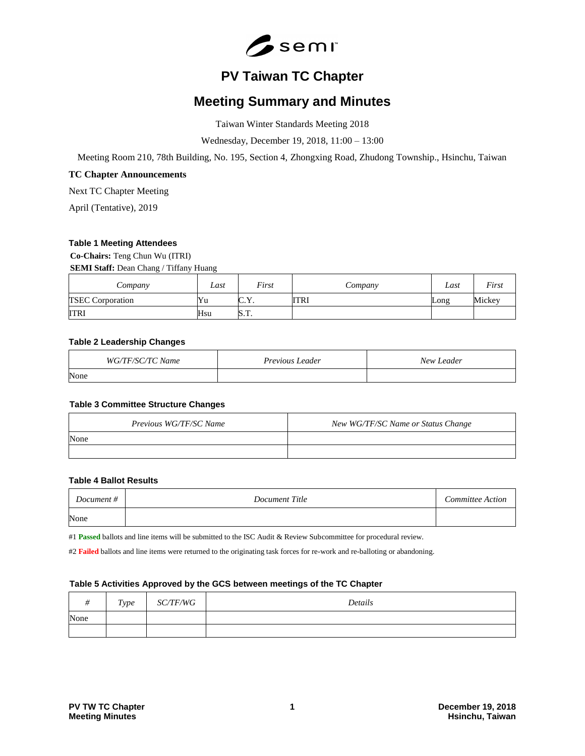

# **PV Taiwan TC Chapter**

# **Meeting Summary and Minutes**

Taiwan Winter Standards Meeting 2018

Wednesday, December 19, 2018, 11:00 – 13:00

Meeting Room 210, 78th Building, No. 195, Section 4, Zhongxing Road, Zhudong Township., Hsinchu, Taiwan

## **TC Chapter Announcements**

Next TC Chapter Meeting

April (Tentative), 2019

## **Table 1 Meeting Attendees**

**Co-Chairs:** Teng Chun Wu (ITRI) **SEMI Staff:** Dean Chang / Tiffany Huang

| Company                 | Last | First                                 | Company     | Last | First  |
|-------------------------|------|---------------------------------------|-------------|------|--------|
| <b>TSEC</b> Corporation | Yu   | $\sim$<br>$\mathbf{v}$<br><u>v.l.</u> | <b>ITRI</b> | Long | Mickey |
| ITRI                    | Hsu  | m<br>N.I.                             |             |      |        |

## **Table 2 Leadership Changes**

| WG/TF/SC/TC Name | Previous Leader | New Leader |
|------------------|-----------------|------------|
| None             |                 |            |

## **Table 3 Committee Structure Changes**

| Previous WG/TF/SC Name | New WG/TF/SC Name or Status Change |
|------------------------|------------------------------------|
| None                   |                                    |
|                        |                                    |

## **Table 4 Ballot Results**

| Document $#$ | Document Title | Committee Action |
|--------------|----------------|------------------|
| None         |                |                  |

#1 **Passed** ballots and line items will be submitted to the ISC Audit & Review Subcommittee for procedural review.

#2 **Failed** ballots and line items were returned to the originating task forces for re-work and re-balloting or abandoning.

#### **Table 5 Activities Approved by the GCS between meetings of the TC Chapter**

|      | Type | <i>SC/TF/WG</i> | Details |
|------|------|-----------------|---------|
| None |      |                 |         |
|      |      |                 |         |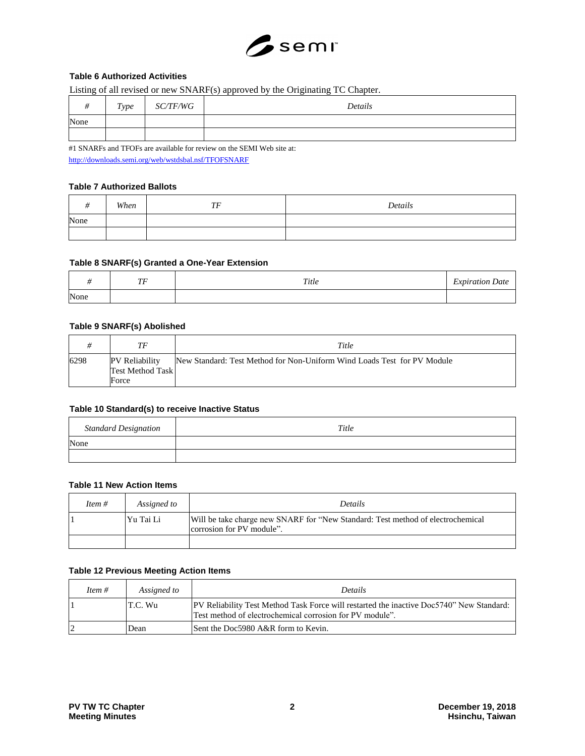

# **Table 6 Authorized Activities**

Listing of all revised or new SNARF(s) approved by the Originating TC Chapter.

| $\mu$ | Type | <i>SC/TF/WG</i> | Details |
|-------|------|-----------------|---------|
| None  |      |                 |         |
|       |      |                 |         |

#1 SNARFs and TFOFs are available for review on the SEMI Web site at: <http://downloads.semi.org/web/wstdsbal.nsf/TFOFSNARF>

## **Table 7 Authorized Ballots**

|      | When | TE<br> | Details |
|------|------|--------|---------|
| None |      |        |         |
|      |      |        |         |

## **Table 8 SNARF(s) Granted a One-Year Extension**

|      | $\pi\pi$<br>$\cdot$ | Title | <sup>T</sup> xpiration Date |
|------|---------------------|-------|-----------------------------|
| None |                     |       |                             |

# **Table 9 SNARF(s) Abolished**

|      | ТF                                                 | Title                                                                   |
|------|----------------------------------------------------|-------------------------------------------------------------------------|
| 6298 | PV Reliability<br><b>Test Method Task</b><br>Force | New Standard: Test Method for Non-Uniform Wind Loads Test for PV Module |

# **Table 10 Standard(s) to receive Inactive Status**

| <b>Standard Designation</b> | Title |
|-----------------------------|-------|
| None                        |       |
|                             |       |

# **Table 11 New Action Items**

| Item # | Assigned to | Details                                                                                                      |
|--------|-------------|--------------------------------------------------------------------------------------------------------------|
|        | Yu Tai Li   | Will be take charge new SNARF for "New Standard: Test method of electrochemical<br>corrosion for PV module". |
|        |             |                                                                                                              |

## **Table 12 Previous Meeting Action Items**

| Item $#$ | Assigned to | <b>Details</b>                                                                                                                                        |
|----------|-------------|-------------------------------------------------------------------------------------------------------------------------------------------------------|
|          | T.C. Wu     | (PV Reliability Test Method Task Force will restarted the inactive Doc5740" New Standard:<br>Test method of electrochemical corrosion for PV module". |
|          | Dean        | Sent the Doc5980 A&R form to Kevin.                                                                                                                   |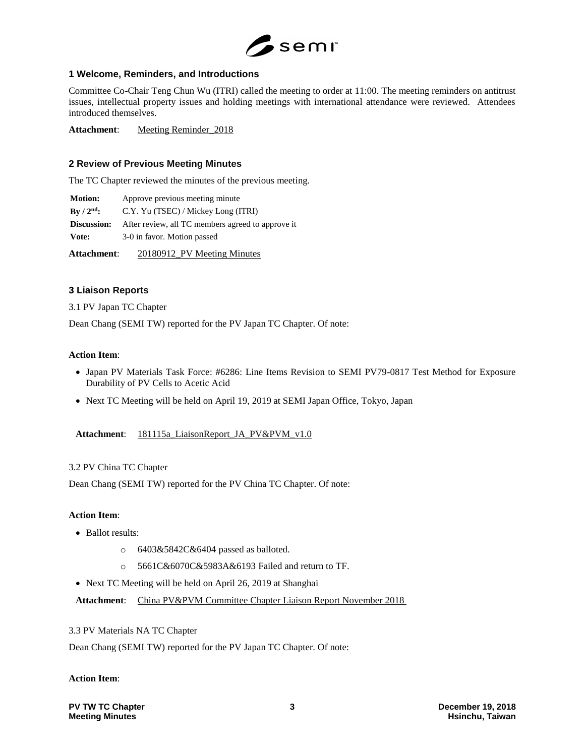

# **1 Welcome, Reminders, and Introductions**

Committee Co-Chair Teng Chun Wu (ITRI) called the meeting to order at 11:00. The meeting reminders on antitrust issues, intellectual property issues and holding meetings with international attendance were reviewed. Attendees introduced themselves.

Attachment: Meeting Reminder 2018

## **2 Review of Previous Meeting Minutes**

The TC Chapter reviewed the minutes of the previous meeting.

**Motion:** Approve previous meeting minute **By / 2nd:** C.Y. Yu (TSEC) / Mickey Long (ITRI) **Discussion:** After review, all TC members agreed to approve it **Vote:** 3-0 in favor. Motion passed

**Attachment**: 20180912\_PV Meeting Minutes

## **3 Liaison Reports**

3.1 PV Japan TC Chapter

Dean Chang (SEMI TW) reported for the PV Japan TC Chapter. Of note:

## **Action Item**:

- Japan PV Materials Task Force: #6286: Line Items Revision to SEMI PV79-0817 Test Method for Exposure Durability of PV Cells to Acetic Acid
- Next TC Meeting will be held on April 19, 2019 at SEMI Japan Office, Tokyo, Japan

## **Attachment**: 181115a\_LiaisonReport\_JA\_PV&PVM\_v1.0

## 3.2 PV China TC Chapter

Dean Chang (SEMI TW) reported for the PV China TC Chapter. Of note:

## **Action Item**:

- Ballot results:
	- o 6403&5842C&6404 passed as balloted.
	- o 5661C&6070C&5983A&6193 Failed and return to TF.
- Next TC Meeting will be held on April 26, 2019 at Shanghai

Attachment: China PV&PVM Committee Chapter Liaison Report November 2018

3.3 PV Materials NA TC Chapter

Dean Chang (SEMI TW) reported for the PV Japan TC Chapter. Of note:

#### **Action Item**:

**PV TW TC Chapter 3 December 19, 2018**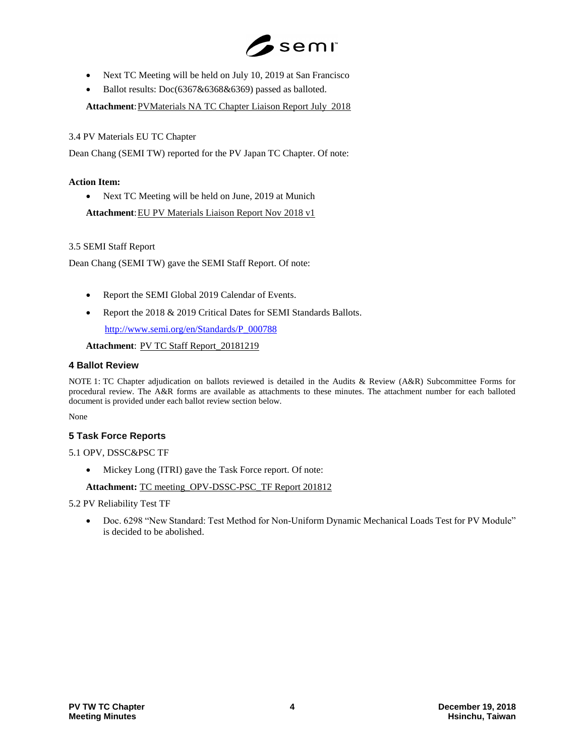

- Next TC Meeting will be held on July 10, 2019 at San Francisco
- Ballot results: Doc(6367&6368&6369) passed as balloted.

Attachment: PVMaterials NA TC Chapter Liaison Report July 2018

3.4 PV Materials EU TC Chapter

Dean Chang (SEMI TW) reported for the PV Japan TC Chapter. Of note:

## **Action Item:**

• Next TC Meeting will be held on June, 2019 at Munich

Attachment: EU PV Materials Liaison Report Nov 2018 v1

## 3.5 SEMI Staff Report

Dean Chang (SEMI TW) gave the SEMI Staff Report. Of note:

- Report the SEMI Global 2019 Calendar of Events.
- Report the 2018 & 2019 Critical Dates for SEMI Standards Ballots. [http://www.semi.org/en/Standards/P\\_000788](http://www.semi.org/en/Standards/P_000788)

**Attachment**: PV TC Staff Report\_20181219

## **4 Ballot Review**

NOTE 1: TC Chapter adjudication on ballots reviewed is detailed in the Audits & Review (A&R) Subcommittee Forms for procedural review. The A&R forms are available as attachments to these minutes. The attachment number for each balloted document is provided under each ballot review section below.

None

## **5 Task Force Reports**

- 5.1 OPV, DSSC&PSC TF
	- Mickey Long (ITRI) gave the Task Force report. Of note:

#### **Attachment:** TC meeting\_OPV-DSSC-PSC\_TF Report 201812

#### 5.2 PV Reliability Test TF

 Doc. 6298 "New Standard: Test Method for Non-Uniform Dynamic Mechanical Loads Test for PV Module" is decided to be abolished.